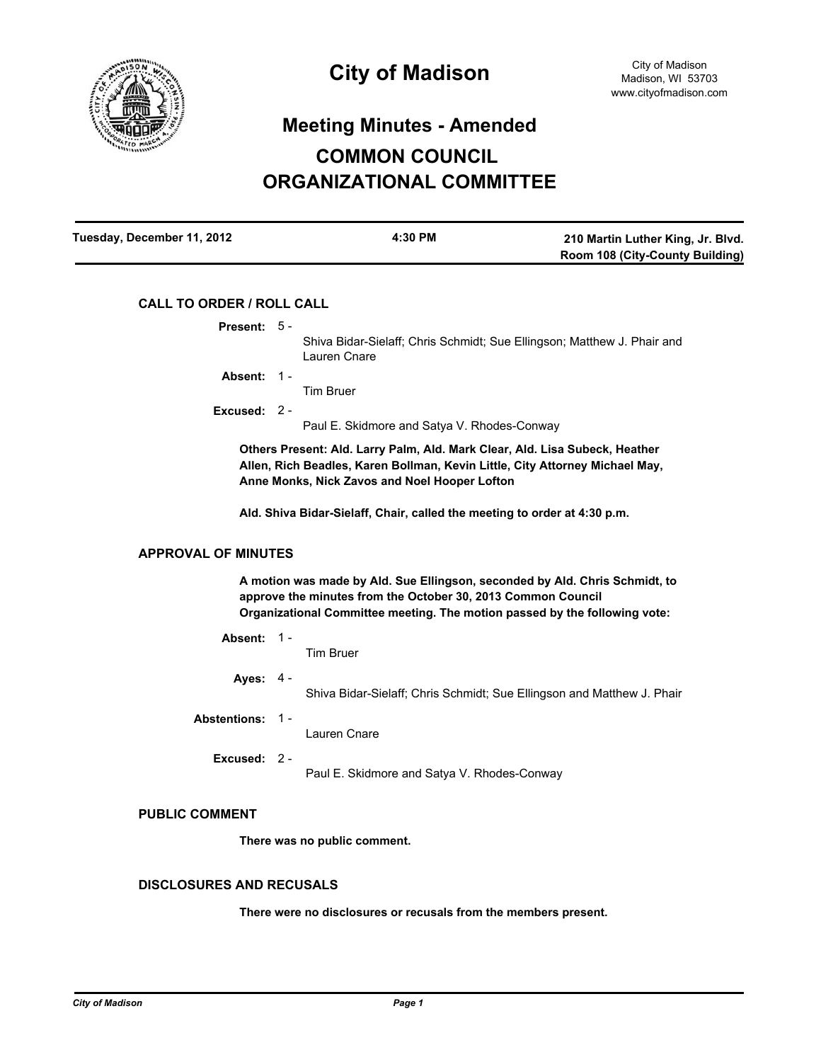

# **Meeting Minutes - Amended COMMON COUNCIL ORGANIZATIONAL COMMITTEE**

| Tuesday, December 11, 2012 | 4:30 PM | 210 Martin Luther King, Jr. Blvd.      |
|----------------------------|---------|----------------------------------------|
|                            |         | <b>Room 108 (City-County Building)</b> |

# **CALL TO ORDER / ROLL CALL**

| Present: 5 -                                                                                                                                                                                                              |  |                                                                                         |  |
|---------------------------------------------------------------------------------------------------------------------------------------------------------------------------------------------------------------------------|--|-----------------------------------------------------------------------------------------|--|
|                                                                                                                                                                                                                           |  | Shiva Bidar-Sielaff; Chris Schmidt; Sue Ellingson; Matthew J. Phair and<br>Lauren Cnare |  |
| Absent: 1 -                                                                                                                                                                                                               |  |                                                                                         |  |
|                                                                                                                                                                                                                           |  | <b>Tim Bruer</b>                                                                        |  |
| Excused: 2 -                                                                                                                                                                                                              |  |                                                                                         |  |
|                                                                                                                                                                                                                           |  | Paul E. Skidmore and Satya V. Rhodes-Conway                                             |  |
| Others Present: Ald. Larry Palm, Ald. Mark Clear, Ald. Lisa Subeck, Heather<br>Allen, Rich Beadles, Karen Bollman, Kevin Little, City Attorney Michael May,<br>Anne Monks, Nick Zavos and Noel Hooper Lofton              |  |                                                                                         |  |
| Ald. Shiva Bidar-Sielaff, Chair, called the meeting to order at 4:30 p.m.                                                                                                                                                 |  |                                                                                         |  |
| <b>APPROVAL OF MINUTES</b>                                                                                                                                                                                                |  |                                                                                         |  |
| A motion was made by Ald. Sue Ellingson, seconded by Ald. Chris Schmidt, to<br>approve the minutes from the October 30, 2013 Common Council<br>Organizational Committee meeting. The motion passed by the following vote: |  |                                                                                         |  |
| Absent: 1-                                                                                                                                                                                                                |  | <b>Tim Bruer</b>                                                                        |  |
| Ayes: $4 -$                                                                                                                                                                                                               |  | Shiva Bidar-Sielaff; Chris Schmidt; Sue Ellingson and Matthew J. Phair                  |  |
| Abstentions: 1 -                                                                                                                                                                                                          |  | Lauren Cnare                                                                            |  |
| Excused: 2 -                                                                                                                                                                                                              |  | Paul E. Skidmore and Satya V. Rhodes-Conway                                             |  |

# **PUBLIC COMMENT**

**There was no public comment.**

# **DISCLOSURES AND RECUSALS**

**There were no disclosures or recusals from the members present.**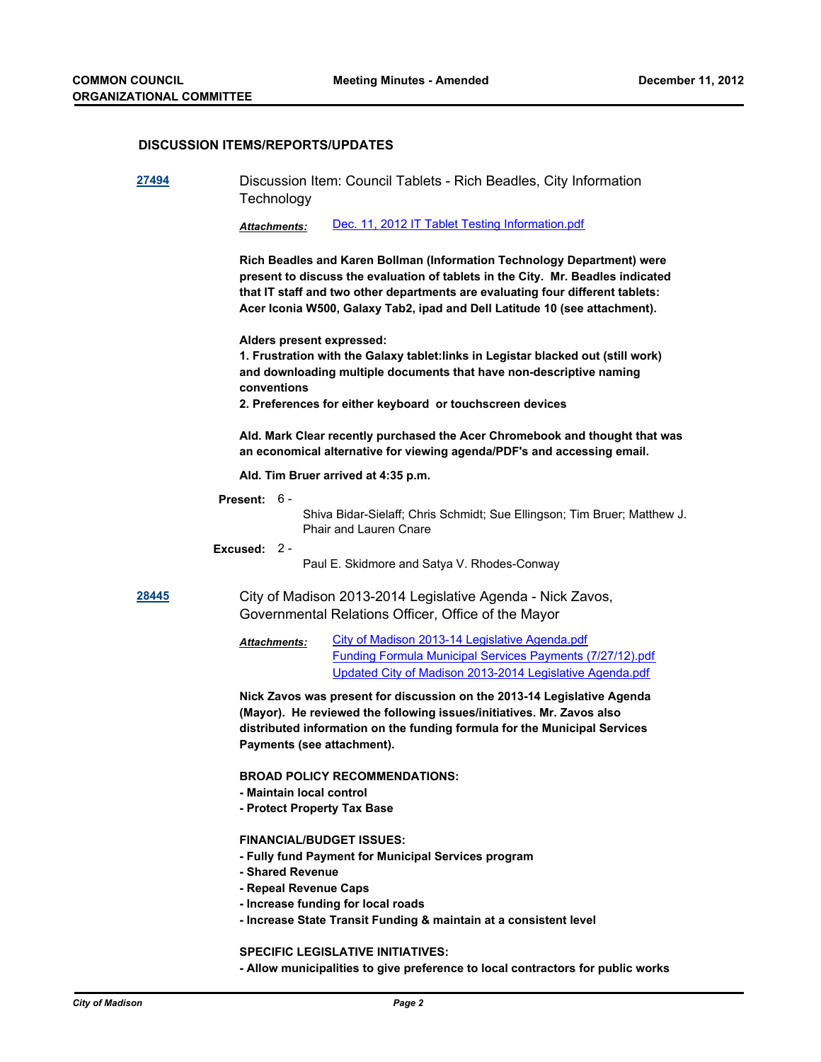### **DISCUSSION ITEMS/REPORTS/UPDATES**

**[27494](http://madison.legistar.com/gateway.aspx?m=l&id=/matter.aspx?key=30182)** Discussion Item: Council Tablets - Rich Beadles, City Information **Technology** 

*Attachments:* [Dec. 11, 2012 IT Tablet Testing Information.pdf](http://madison.legistar.com/gateway.aspx?M=F&ID=9fc83716-e3db-4396-8ecc-aedb677cf968.pdf)

**Rich Beadles and Karen Bollman (Information Technology Department) were present to discuss the evaluation of tablets in the City. Mr. Beadles indicated that IT staff and two other departments are evaluating four different tablets: Acer Iconia W500, Galaxy Tab2, ipad and Dell Latitude 10 (see attachment).**

**Alders present expressed:**

**1. Frustration with the Galaxy tablet:links in Legistar blacked out (still work) and downloading multiple documents that have non-descriptive naming conventions**

**2. Preferences for either keyboard or touchscreen devices**

**Ald. Mark Clear recently purchased the Acer Chromebook and thought that was an economical alternative for viewing agenda/PDF's and accessing email.**

**Ald. Tim Bruer arrived at 4:35 p.m.**

#### **Present:** 6 -

Shiva Bidar-Sielaff; Chris Schmidt; Sue Ellingson; Tim Bruer; Matthew J. Phair and Lauren Cnare

#### **Excused:** 2 -

Paul E. Skidmore and Satya V. Rhodes-Conway

**[28445](http://madison.legistar.com/gateway.aspx?m=l&id=/matter.aspx?key=31221)** City of Madison 2013-2014 Legislative Agenda - Nick Zavos, Governmental Relations Officer, Office of the Mayor

> [City of Madison 2013-14 Legislative Agenda.pdf](http://madison.legistar.com/gateway.aspx?M=F&ID=fcfcc503-719c-44bf-ab34-282ace8dfbff.pdf) [Funding Formula Municipal Services Payments \(7/27/12\).pdf](http://madison.legistar.com/gateway.aspx?M=F&ID=5910eced-11a7-4e9d-958a-30da4e01872c.pdf) [Updated City of Madison 2013-2014 Legislative Agenda.pdf](http://madison.legistar.com/gateway.aspx?M=F&ID=8df2cf22-2c93-470f-a0fa-ca4134cc38d2.pdf) *Attachments:*

**Nick Zavos was present for discussion on the 2013-14 Legislative Agenda (Mayor). He reviewed the following issues/initiatives. Mr. Zavos also distributed information on the funding formula for the Municipal Services Payments (see attachment).**

**BROAD POLICY RECOMMENDATIONS:**

- **Maintain local control**
- **Protect Property Tax Base**

## **FINANCIAL/BUDGET ISSUES:**

- **Fully fund Payment for Municipal Services program**
- **Shared Revenue**
- **Repeal Revenue Caps**
- **Increase funding for local roads**
- **Increase State Transit Funding & maintain at a consistent level**

**SPECIFIC LEGISLATIVE INITIATIVES:**

**- Allow municipalities to give preference to local contractors for public works**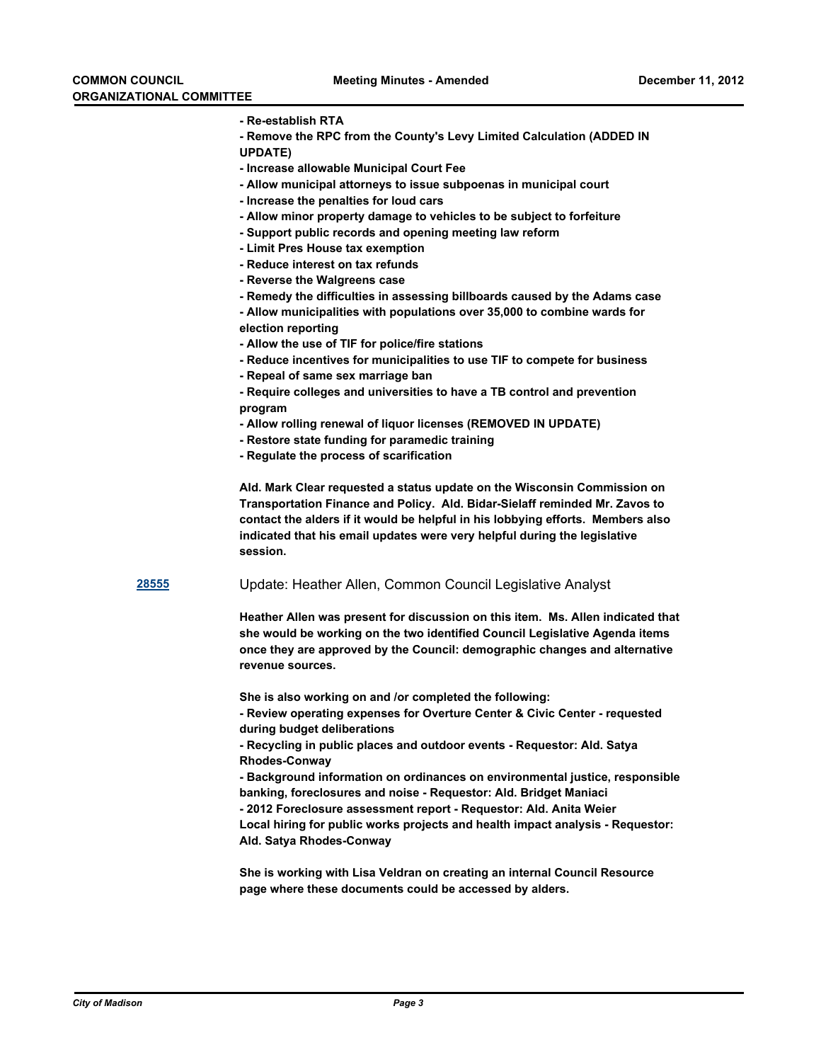- **Re-establish RTA**
- **Remove the RPC from the County's Levy Limited Calculation (ADDED IN**
- **UPDATE)**
- **Increase allowable Municipal Court Fee**
- **Allow municipal attorneys to issue subpoenas in municipal court**
- **Increase the penalties for loud cars**
- **Allow minor property damage to vehicles to be subject to forfeiture**
- **Support public records and opening meeting law reform**
- **Limit Pres House tax exemption**
- **Reduce interest on tax refunds**
- **Reverse the Walgreens case**
- **Remedy the difficulties in assessing billboards caused by the Adams case**
- **Allow municipalities with populations over 35,000 to combine wards for election reporting**
- **Allow the use of TIF for police/fire stations**
- **Reduce incentives for municipalities to use TIF to compete for business**
- **Repeal of same sex marriage ban**
- **Require colleges and universities to have a TB control and prevention program**
- **Allow rolling renewal of liquor licenses (REMOVED IN UPDATE)**
- **Restore state funding for paramedic training**
- **Regulate the process of scarification**

**Ald. Mark Clear requested a status update on the Wisconsin Commission on Transportation Finance and Policy. Ald. Bidar-Sielaff reminded Mr. Zavos to contact the alders if it would be helpful in his lobbying efforts. Members also indicated that his email updates were very helpful during the legislative session.**

**[28555](http://madison.legistar.com/gateway.aspx?m=l&id=/matter.aspx?key=31331)** Update: Heather Allen, Common Council Legislative Analyst

**Heather Allen was present for discussion on this item. Ms. Allen indicated that she would be working on the two identified Council Legislative Agenda items once they are approved by the Council: demographic changes and alternative revenue sources.**

**She is also working on and /or completed the following:**

**- Review operating expenses for Overture Center & Civic Center - requested during budget deliberations**

**- Recycling in public places and outdoor events - Requestor: Ald. Satya Rhodes-Conway**

**- Background information on ordinances on environmental justice, responsible banking, foreclosures and noise - Requestor: Ald. Bridget Maniaci**

**- 2012 Foreclosure assessment report - Requestor: Ald. Anita Weier**

**Local hiring for public works projects and health impact analysis - Requestor: Ald. Satya Rhodes-Conway**

**She is working with Lisa Veldran on creating an internal Council Resource page where these documents could be accessed by alders.**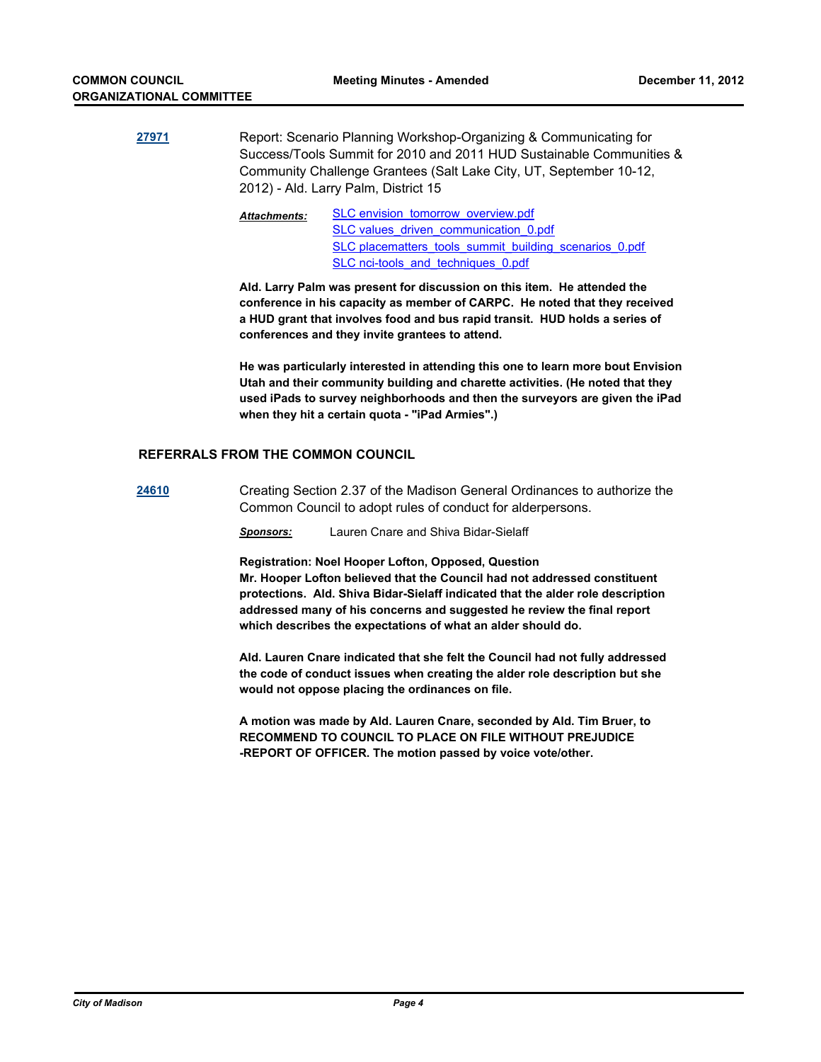- **[27971](http://madison.legistar.com/gateway.aspx?m=l&id=/matter.aspx?key=30696)** Report: Scenario Planning Workshop-Organizing & Communicating for Success/Tools Summit for 2010 and 2011 HUD Sustainable Communities & Community Challenge Grantees (Salt Lake City, UT, September 10-12, 2012) - Ald. Larry Palm, District 15
	- [SLC envision\\_tomorrow\\_overview.pdf](http://madison.legistar.com/gateway.aspx?M=F&ID=cd586569-7e7c-43c6-a4d0-b791fee13bde.pdf) [SLC values\\_driven\\_communication\\_0.pdf](http://madison.legistar.com/gateway.aspx?M=F&ID=13d6a252-749a-4ec1-ac05-3ab01b1c020a.pdf) [SLC placematters\\_tools\\_summit\\_building\\_scenarios\\_0.pdf](http://madison.legistar.com/gateway.aspx?M=F&ID=16e99aed-2e37-4228-8960-b5f20e5f4335.pdf) [SLC nci-tools\\_and\\_techniques\\_0.pdf](http://madison.legistar.com/gateway.aspx?M=F&ID=7e5f9851-55fe-48ed-922a-8d3f9ba388db.pdf) *Attachments:*

**Ald. Larry Palm was present for discussion on this item. He attended the conference in his capacity as member of CARPC. He noted that they received a HUD grant that involves food and bus rapid transit. HUD holds a series of conferences and they invite grantees to attend.** 

**He was particularly interested in attending this one to learn more bout Envision Utah and their community building and charette activities. (He noted that they used iPads to survey neighborhoods and then the surveyors are given the iPad when they hit a certain quota - "iPad Armies".)**

## **REFERRALS FROM THE COMMON COUNCIL**

**[24610](http://madison.legistar.com/gateway.aspx?m=l&id=/matter.aspx?key=27124)** Creating Section 2.37 of the Madison General Ordinances to authorize the Common Council to adopt rules of conduct for alderpersons.

*Sponsors:* Lauren Cnare and Shiva Bidar-Sielaff

**Registration: Noel Hooper Lofton, Opposed, Question**

**Mr. Hooper Lofton believed that the Council had not addressed constituent protections. Ald. Shiva Bidar-Sielaff indicated that the alder role description addressed many of his concerns and suggested he review the final report which describes the expectations of what an alder should do.**

**Ald. Lauren Cnare indicated that she felt the Council had not fully addressed the code of conduct issues when creating the alder role description but she would not oppose placing the ordinances on file.**

**A motion was made by Ald. Lauren Cnare, seconded by Ald. Tim Bruer, to RECOMMEND TO COUNCIL TO PLACE ON FILE WITHOUT PREJUDICE -REPORT OF OFFICER. The motion passed by voice vote/other.**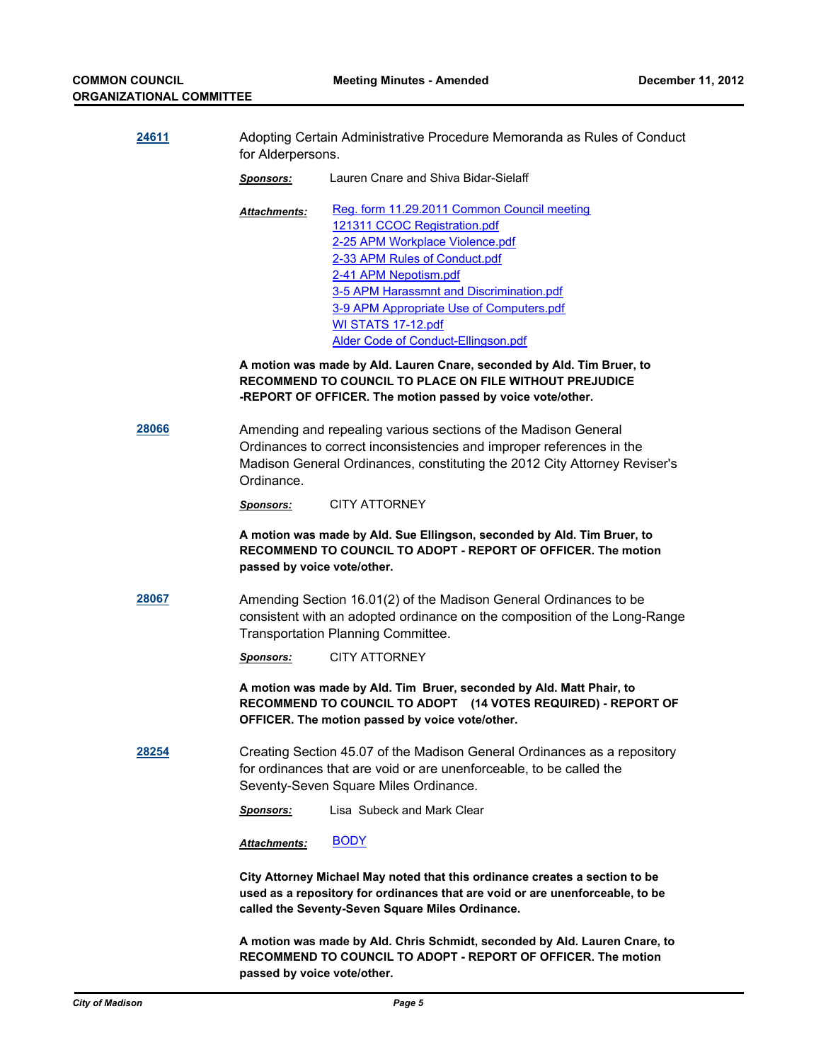| 24611<br>the contract of the contract of the | Adopting Certain Administrative Procedure Memoranda as Rules of Conduct |
|----------------------------------------------|-------------------------------------------------------------------------|
|                                              | for Alderpersons.                                                       |

*Sponsors:* Lauren Cnare and Shiva Bidar-Sielaff

[Reg. form 11.29.2011 Common Council meeting](http://madison.legistar.com/gateway.aspx?M=F&ID=236dee3f-de49-49b2-aa12-0160e9908afd.pdf) [121311 CCOC Registration.pdf](http://madison.legistar.com/gateway.aspx?M=F&ID=c18c9b6b-5347-43af-92df-8d1439b6cdd9.pdf) [2-25 APM Workplace Violence.pdf](http://madison.legistar.com/gateway.aspx?M=F&ID=94259ef3-cd7a-453b-91e7-2900240765e4.pdf) [2-33 APM Rules of Conduct.pdf](http://madison.legistar.com/gateway.aspx?M=F&ID=08deaffb-97ef-4cf0-9378-ea389d233a6b.pdf) [2-41 APM Nepotism.pdf](http://madison.legistar.com/gateway.aspx?M=F&ID=293bd987-8978-465f-9ce0-a752507d094e.pdf) [3-5 APM Harassmnt and Discrimination.pdf](http://madison.legistar.com/gateway.aspx?M=F&ID=e4cd2cbd-7dff-4aae-be5f-e067f2482312.pdf) [3-9 APM Appropriate Use of Computers.pdf](http://madison.legistar.com/gateway.aspx?M=F&ID=c7b50bf8-2222-4982-ad46-4fcddefc429c.pdf) [WI STATS 17-12.pdf](http://madison.legistar.com/gateway.aspx?M=F&ID=b116a92a-c935-4e8f-b5da-d4542b2803fd.pdf) [Alder Code of Conduct-Ellingson.pdf](http://madison.legistar.com/gateway.aspx?M=F&ID=3aacbd46-3002-4274-8f82-7a370f697be5.pdf) *Attachments:*

**A motion was made by Ald. Lauren Cnare, seconded by Ald. Tim Bruer, to RECOMMEND TO COUNCIL TO PLACE ON FILE WITHOUT PREJUDICE -REPORT OF OFFICER. The motion passed by voice vote/other.**

**[28066](http://madison.legistar.com/gateway.aspx?m=l&id=/matter.aspx?key=30800)** Amending and repealing various sections of the Madison General Ordinances to correct inconsistencies and improper references in the Madison General Ordinances, constituting the 2012 City Attorney Reviser's Ordinance.

*Sponsors:* CITY ATTORNEY

**A motion was made by Ald. Sue Ellingson, seconded by Ald. Tim Bruer, to RECOMMEND TO COUNCIL TO ADOPT - REPORT OF OFFICER. The motion passed by voice vote/other.**

**[28067](http://madison.legistar.com/gateway.aspx?m=l&id=/matter.aspx?key=30801)** Amending Section 16.01(2) of the Madison General Ordinances to be consistent with an adopted ordinance on the composition of the Long-Range Transportation Planning Committee.

*Sponsors:* CITY ATTORNEY

**A motion was made by Ald. Tim Bruer, seconded by Ald. Matt Phair, to RECOMMEND TO COUNCIL TO ADOPT (14 VOTES REQUIRED) - REPORT OF OFFICER. The motion passed by voice vote/other.**

**[28254](http://madison.legistar.com/gateway.aspx?m=l&id=/matter.aspx?key=31007)** Creating Section 45.07 of the Madison General Ordinances as a repository for ordinances that are void or are unenforceable, to be called the Seventy-Seven Square Miles Ordinance.

*Sponsors:* Lisa Subeck and Mark Clear

*Attachments:* [BODY](http://madison.legistar.com/gateway.aspx?M=F&ID=ae9033e8-2e27-4933-8478-b0932b2c34fe.pdf)

**City Attorney Michael May noted that this ordinance creates a section to be used as a repository for ordinances that are void or are unenforceable, to be called the Seventy-Seven Square Miles Ordinance.**

**A motion was made by Ald. Chris Schmidt, seconded by Ald. Lauren Cnare, to RECOMMEND TO COUNCIL TO ADOPT - REPORT OF OFFICER. The motion passed by voice vote/other.**